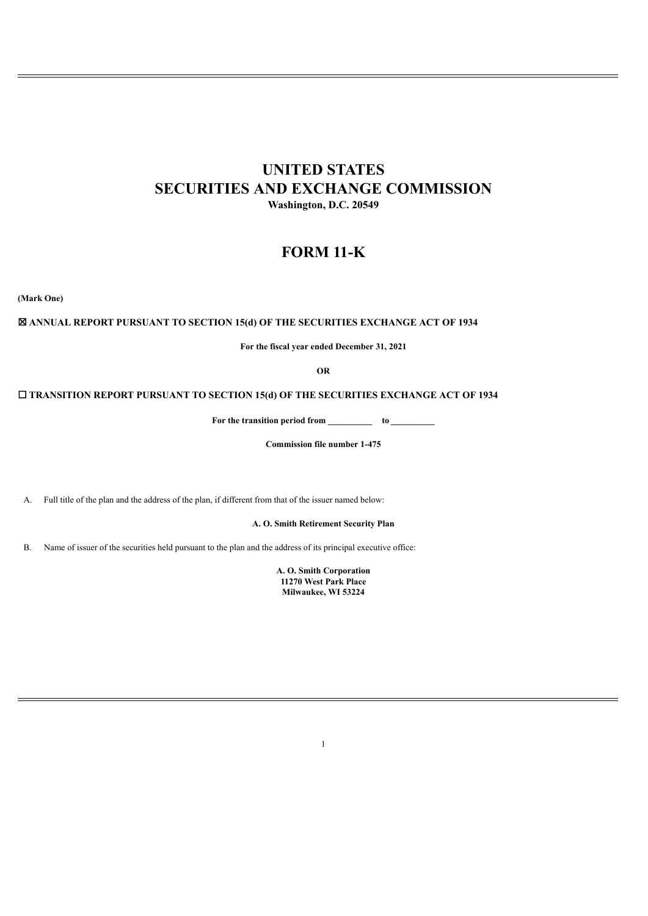# **UNITED STATES SECURITIES AND EXCHANGE COMMISSION Washington, D.C. 20549**

# **FORM 11-K**

**(Mark One)**

# ☒ **ANNUAL REPORT PURSUANT TO SECTION 15(d) OF THE SECURITIES EXCHANGE ACT OF 1934**

**For the fiscal year ended December 31, 2021**

**OR**

☐ **TRANSITION REPORT PURSUANT TO SECTION 15(d) OF THE SECURITIES EXCHANGE ACT OF 1934**

**For the transition period from \_\_\_\_\_\_\_\_\_\_ to \_\_\_\_\_\_\_\_\_\_**

**Commission file number 1-475**

A. Full title of the plan and the address of the plan, if different from that of the issuer named below:

**A. O. Smith Retirement Security Plan**

B. Name of issuer of the securities held pursuant to the plan and the address of its principal executive office:

**A. O. Smith Corporation 11270 West Park Place Milwaukee, WI 53224**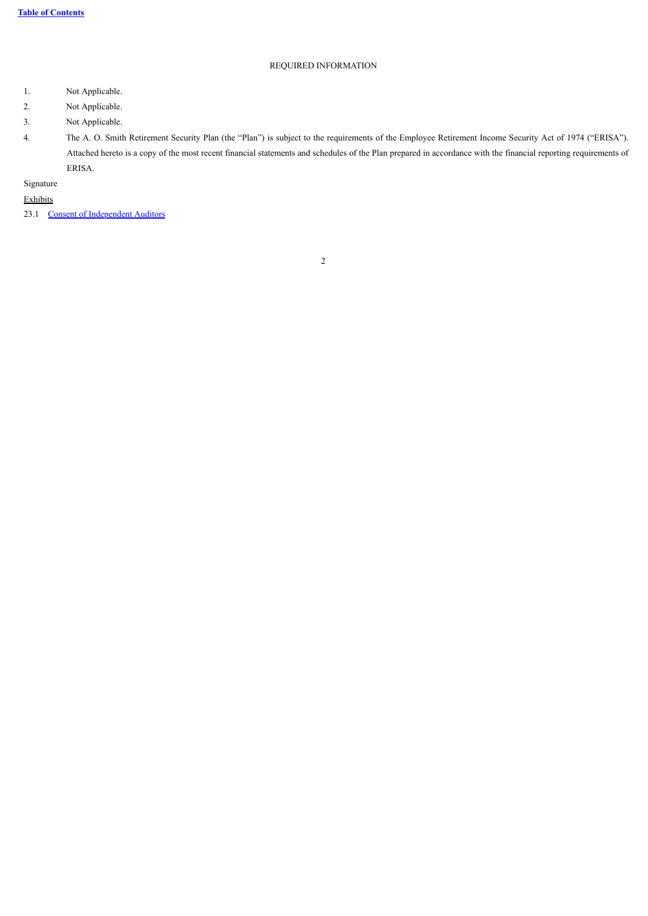# REQUIRED INFORMATION

- 1. Not Applicable.
- 2. Not Applicable.
- 3. Not Applicable.

4. The A. O. Smith Retirement Security Plan (the "Plan") is subject to the requirements of the Employee Retirement Income Security Act of 1974 ("ERISA"). Attached hereto is a copy of the most recent financial statements and schedules of the Plan prepared in accordance with the financial reporting requirements of ERISA.

# Signature

Exhibits

<span id="page-1-0"></span>23.1 [Consent of Independent Auditors](#page-16-0)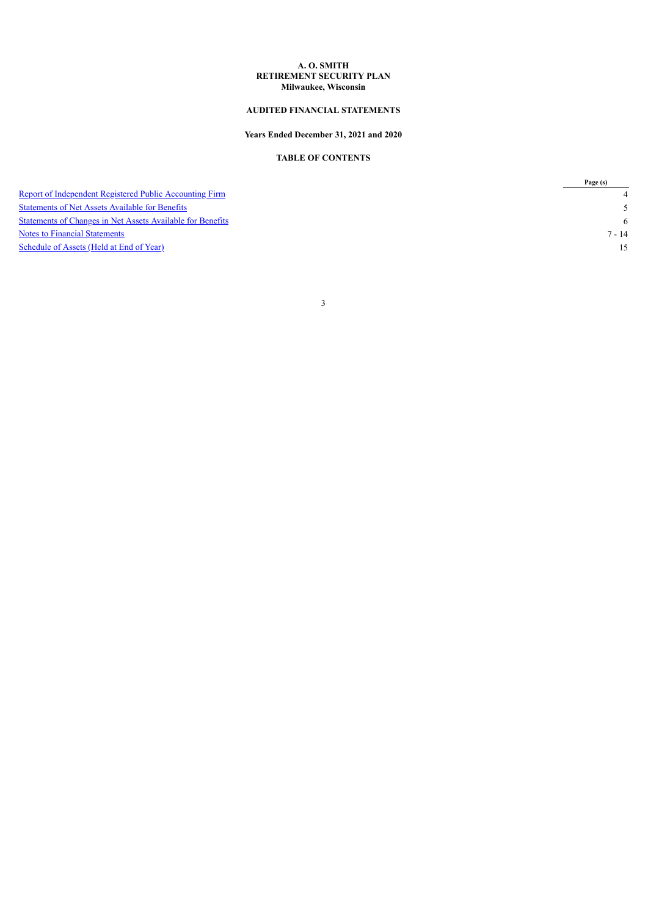#### **A. O. SMITH RETIREMENT SECURITY PLAN Milwaukee, Wisconsin**

### **AUDITED FINANCIAL STATEMENTS**

### **Years Ended December 31, 2021 and 2020**

# **TABLE OF CONTENTS**

<span id="page-2-0"></span>

|                                                                | Page (s) |
|----------------------------------------------------------------|----------|
| <b>Report of Independent Registered Public Accounting Firm</b> |          |
| <b>Statements of Net Assets Available for Benefits</b>         |          |
| Statements of Changes in Net Assets Available for Benefits     | - 6      |
| Notes to Financial Statements                                  | $7 - 14$ |
| Schedule of Assets (Held at End of Year)                       |          |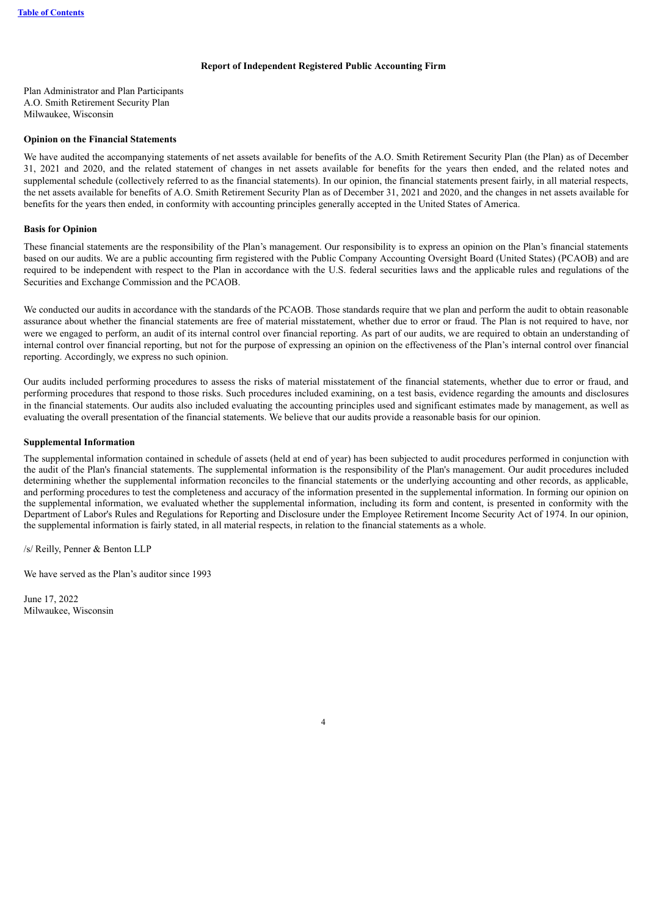#### **Report of Independent Registered Public Accounting Firm**

Plan Administrator and Plan Participants A.O. Smith Retirement Security Plan Milwaukee, Wisconsin

#### **Opinion on the Financial Statements**

We have audited the accompanying statements of net assets available for benefits of the A.O. Smith Retirement Security Plan (the Plan) as of December 31, 2021 and 2020, and the related statement of changes in net assets available for benefits for the years then ended, and the related notes and supplemental schedule (collectively referred to as the financial statements). In our opinion, the financial statements present fairly, in all material respects, the net assets available for benefits of A.O. Smith Retirement Security Plan as of December 31, 2021 and 2020, and the changes in net assets available for benefits for the years then ended, in conformity with accounting principles generally accepted in the United States of America.

#### **Basis for Opinion**

These financial statements are the responsibility of the Plan's management. Our responsibility is to express an opinion on the Plan's financial statements based on our audits. We are a public accounting firm registered with the Public Company Accounting Oversight Board (United States) (PCAOB) and are required to be independent with respect to the Plan in accordance with the U.S. federal securities laws and the applicable rules and regulations of the Securities and Exchange Commission and the PCAOB.

We conducted our audits in accordance with the standards of the PCAOB. Those standards require that we plan and perform the audit to obtain reasonable assurance about whether the financial statements are free of material misstatement, whether due to error or fraud. The Plan is not required to have, nor were we engaged to perform, an audit of its internal control over financial reporting. As part of our audits, we are required to obtain an understanding of internal control over financial reporting, but not for the purpose of expressing an opinion on the effectiveness of the Plan's internal control over financial reporting. Accordingly, we express no such opinion.

Our audits included performing procedures to assess the risks of material misstatement of the financial statements, whether due to error or fraud, and performing procedures that respond to those risks. Such procedures included examining, on a test basis, evidence regarding the amounts and disclosures in the financial statements. Our audits also included evaluating the accounting principles used and significant estimates made by management, as well as evaluating the overall presentation of the financial statements. We believe that our audits provide a reasonable basis for our opinion.

#### **Supplemental Information**

The supplemental information contained in schedule of assets (held at end of year) has been subjected to audit procedures performed in conjunction with the audit of the Plan's financial statements. The supplemental information is the responsibility of the Plan's management. Our audit procedures included determining whether the supplemental information reconciles to the financial statements or the underlying accounting and other records, as applicable, and performing procedures to test the completeness and accuracy of the information presented in the supplemental information. In forming our opinion on the supplemental information, we evaluated whether the supplemental information, including its form and content, is presented in conformity with the Department of Labor's Rules and Regulations for Reporting and Disclosure under the Employee Retirement Income Security Act of 1974. In our opinion, the supplemental information is fairly stated, in all material respects, in relation to the financial statements as a whole.

/s/ Reilly, Penner & Benton LLP

We have served as the Plan's auditor since 1993

<span id="page-3-0"></span>June 17, 2022 Milwaukee, Wisconsin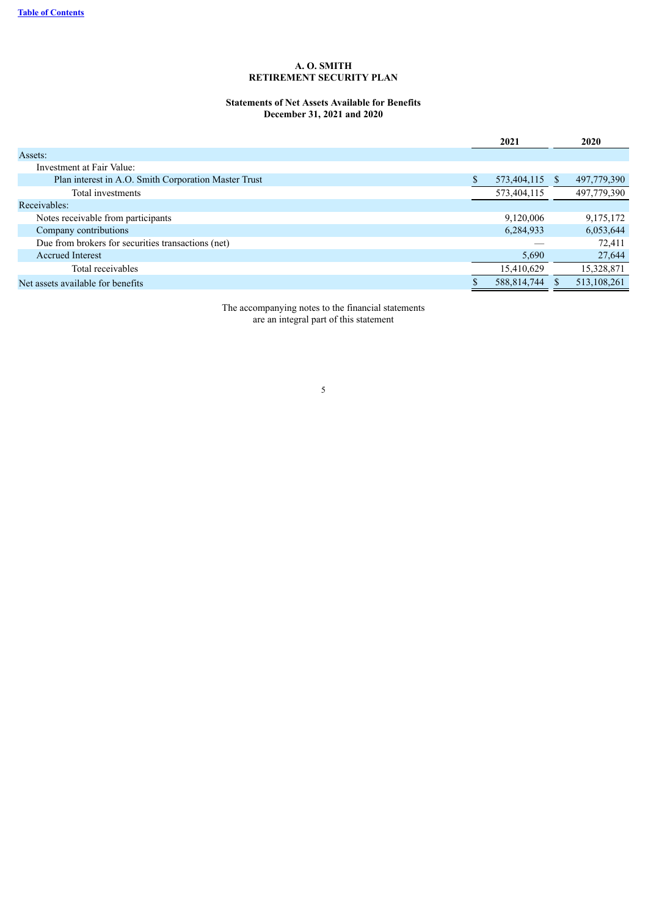# **Statements of Net Assets Available for Benefits December 31, 2021 and 2020**

|                                                      | 2021           | 2020        |
|------------------------------------------------------|----------------|-------------|
| Assets:                                              |                |             |
| Investment at Fair Value:                            |                |             |
| Plan interest in A.O. Smith Corporation Master Trust | 573,404,115 \$ | 497,779,390 |
| Total investments                                    | 573,404,115    | 497,779,390 |
| Receivables:                                         |                |             |
| Notes receivable from participants                   | 9,120,006      | 9, 175, 172 |
| Company contributions                                | 6,284,933      | 6,053,644   |
| Due from brokers for securities transactions (net)   |                | 72,411      |
| <b>Accrued Interest</b>                              | 5,690          | 27,644      |
| Total receivables                                    | 15,410,629     | 15,328,871  |
| Net assets available for benefits                    | 588,814,744    | 513,108,261 |

<span id="page-4-0"></span>The accompanying notes to the financial statements are an integral part of this statement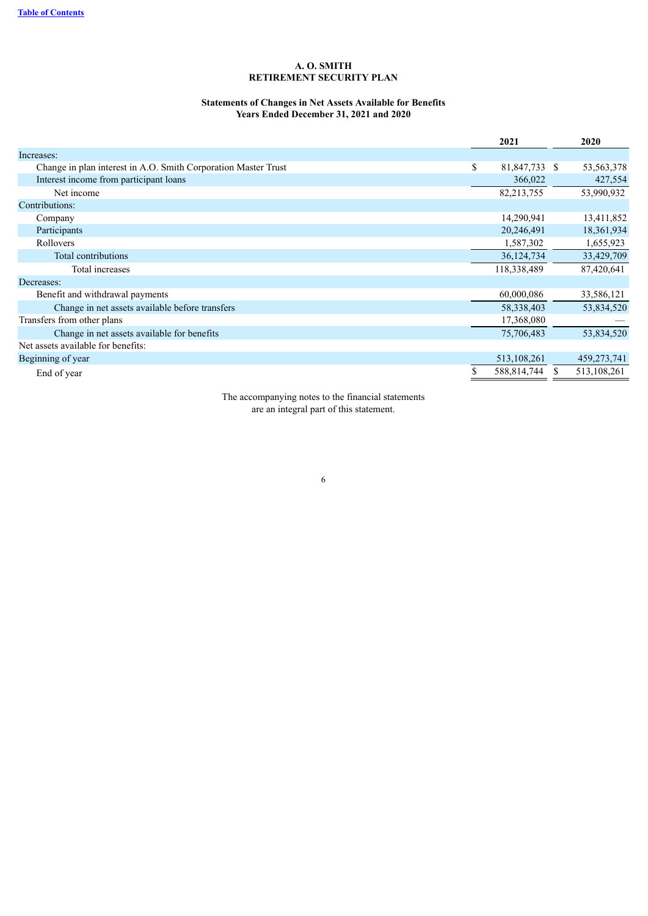#### **Statements of Changes in Net Assets Available for Benefits Years Ended December 31, 2021 and 2020**

|                                                                | 2021                | 2020         |
|----------------------------------------------------------------|---------------------|--------------|
| Increases:                                                     |                     |              |
| Change in plan interest in A.O. Smith Corporation Master Trust | \$<br>81,847,733 \$ | 53, 563, 378 |
| Interest income from participant loans                         | 366,022             | 427,554      |
| Net income                                                     | 82,213,755          | 53,990,932   |
| Contributions:                                                 |                     |              |
| Company                                                        | 14,290,941          | 13,411,852   |
| Participants                                                   | 20,246,491          | 18,361,934   |
| Rollovers                                                      | 1,587,302           | 1,655,923    |
| Total contributions                                            | 36, 124, 734        | 33,429,709   |
| Total increases                                                | 118,338,489         | 87,420,641   |
| Decreases:                                                     |                     |              |
| Benefit and withdrawal payments                                | 60,000,086          | 33,586,121   |
| Change in net assets available before transfers                | 58, 338, 403        | 53,834,520   |
| Transfers from other plans                                     | 17,368,080          |              |
| Change in net assets available for benefits                    | 75,706,483          | 53,834,520   |
| Net assets available for benefits:                             |                     |              |
| Beginning of year                                              | 513, 108, 261       | 459,273,741  |
| End of year                                                    | 588,814,744         | 513,108,261  |

<span id="page-5-0"></span>The accompanying notes to the financial statements are an integral part of this statement.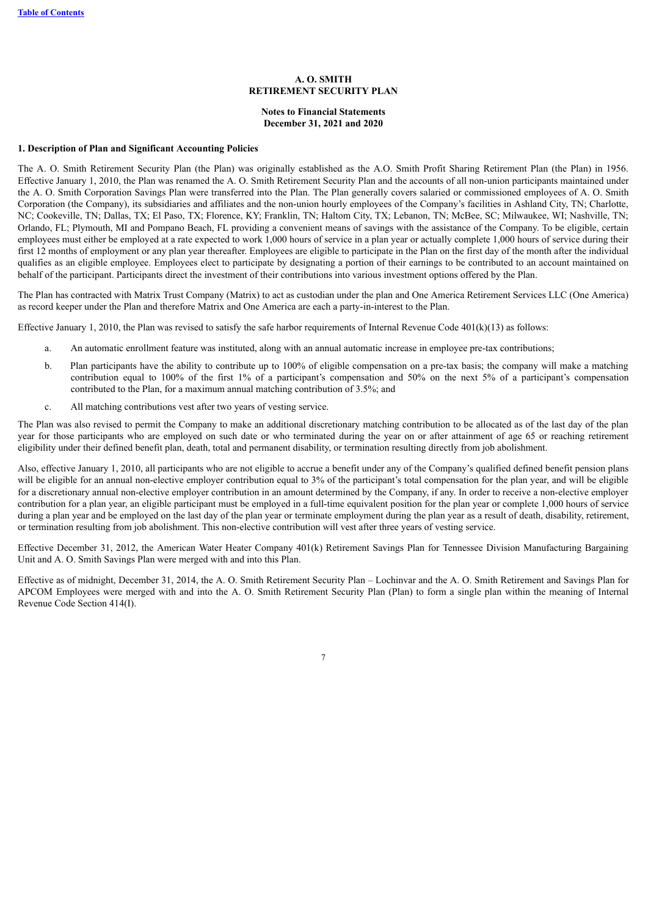#### **Notes to Financial Statements December 31, 2021 and 2020**

#### **1. Description of Plan and Significant Accounting Policies**

The A. O. Smith Retirement Security Plan (the Plan) was originally established as the A.O. Smith Profit Sharing Retirement Plan (the Plan) in 1956. Effective January 1, 2010, the Plan was renamed the A. O. Smith Retirement Security Plan and the accounts of all non-union participants maintained under the A. O. Smith Corporation Savings Plan were transferred into the Plan. The Plan generally covers salaried or commissioned employees of A. O. Smith Corporation (the Company), its subsidiaries and affiliates and the non-union hourly employees of the Company's facilities in Ashland City, TN; Charlotte, NC; Cookeville, TN; Dallas, TX; El Paso, TX; Florence, KY; Franklin, TN; Haltom City, TX; Lebanon, TN; McBee, SC; Milwaukee, WI; Nashville, TN; Orlando, FL; Plymouth, MI and Pompano Beach, FL providing a convenient means of savings with the assistance of the Company. To be eligible, certain employees must either be employed at a rate expected to work 1,000 hours of service in a plan year or actually complete 1,000 hours of service during their first 12 months of employment or any plan year thereafter. Employees are eligible to participate in the Plan on the first day of the month after the individual qualifies as an eligible employee. Employees elect to participate by designating a portion of their earnings to be contributed to an account maintained on behalf of the participant. Participants direct the investment of their contributions into various investment options offered by the Plan.

The Plan has contracted with Matrix Trust Company (Matrix) to act as custodian under the plan and One America Retirement Services LLC (One America) as record keeper under the Plan and therefore Matrix and One America are each a party-in-interest to the Plan.

Effective January 1, 2010, the Plan was revised to satisfy the safe harbor requirements of Internal Revenue Code 401(k)(13) as follows:

- a. An automatic enrollment feature was instituted, along with an annual automatic increase in employee pre-tax contributions;
- b. Plan participants have the ability to contribute up to 100% of eligible compensation on a pre-tax basis; the company will make a matching contribution equal to 100% of the first 1% of a participant's compensation and 50% on the next 5% of a participant's compensation contributed to the Plan, for a maximum annual matching contribution of 3.5%; and
- c. All matching contributions vest after two years of vesting service.

The Plan was also revised to permit the Company to make an additional discretionary matching contribution to be allocated as of the last day of the plan year for those participants who are employed on such date or who terminated during the year on or after attainment of age 65 or reaching retirement eligibility under their defined benefit plan, death, total and permanent disability, or termination resulting directly from job abolishment.

Also, effective January 1, 2010, all participants who are not eligible to accrue a benefit under any of the Company's qualified defined benefit pension plans will be eligible for an annual non-elective employer contribution equal to 3% of the participant's total compensation for the plan year, and will be eligible for a discretionary annual non-elective employer contribution in an amount determined by the Company, if any. In order to receive a non-elective employer contribution for a plan year, an eligible participant must be employed in a full-time equivalent position for the plan year or complete 1,000 hours of service during a plan year and be employed on the last day of the plan year or terminate employment during the plan year as a result of death, disability, retirement, or termination resulting from job abolishment. This non-elective contribution will vest after three years of vesting service.

Effective December 31, 2012, the American Water Heater Company 401(k) Retirement Savings Plan for Tennessee Division Manufacturing Bargaining Unit and A. O. Smith Savings Plan were merged with and into this Plan.

Effective as of midnight, December 31, 2014, the A. O. Smith Retirement Security Plan – Lochinvar and the A. O. Smith Retirement and Savings Plan for APCOM Employees were merged with and into the A. O. Smith Retirement Security Plan (Plan) to form a single plan within the meaning of Internal Revenue Code Section 414(I).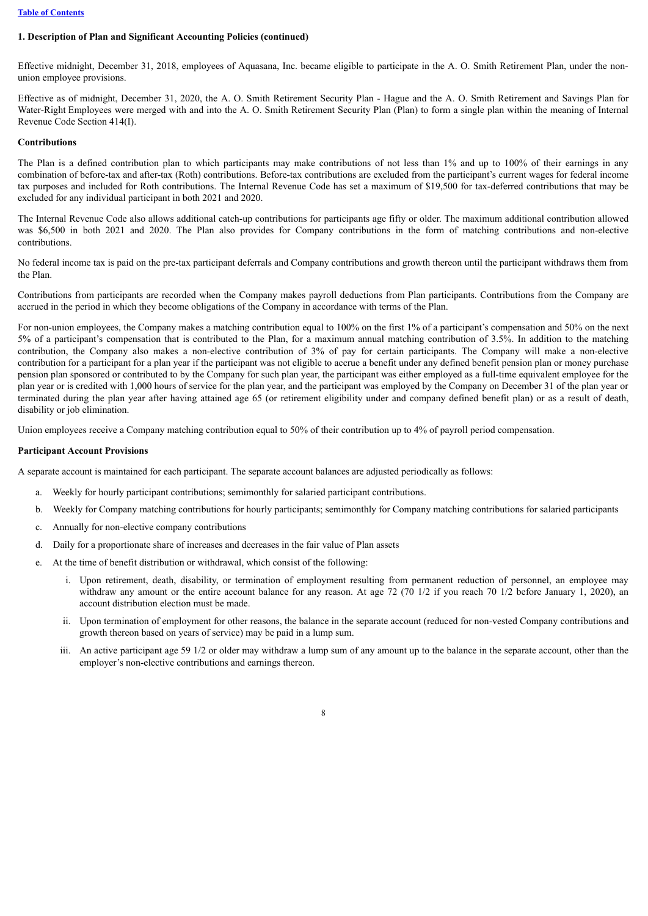#### **[Table of Contents](#page-1-0)**

### **1. Description of Plan and Significant Accounting Policies (continued)**

Effective midnight, December 31, 2018, employees of Aquasana, Inc. became eligible to participate in the A. O. Smith Retirement Plan, under the nonunion employee provisions.

Effective as of midnight, December 31, 2020, the A. O. Smith Retirement Security Plan - Hague and the A. O. Smith Retirement and Savings Plan for Water-Right Employees were merged with and into the A. O. Smith Retirement Security Plan (Plan) to form a single plan within the meaning of Internal Revenue Code Section 414(I).

#### **Contributions**

The Plan is a defined contribution plan to which participants may make contributions of not less than 1% and up to 100% of their earnings in any combination of before-tax and after-tax (Roth) contributions. Before-tax contributions are excluded from the participant's current wages for federal income tax purposes and included for Roth contributions. The Internal Revenue Code has set a maximum of \$19,500 for tax-deferred contributions that may be excluded for any individual participant in both 2021 and 2020.

The Internal Revenue Code also allows additional catch-up contributions for participants age fifty or older. The maximum additional contribution allowed was \$6,500 in both 2021 and 2020. The Plan also provides for Company contributions in the form of matching contributions and non-elective contributions.

No federal income tax is paid on the pre-tax participant deferrals and Company contributions and growth thereon until the participant withdraws them from the Plan.

Contributions from participants are recorded when the Company makes payroll deductions from Plan participants. Contributions from the Company are accrued in the period in which they become obligations of the Company in accordance with terms of the Plan.

For non-union employees, the Company makes a matching contribution equal to 100% on the first 1% of a participant's compensation and 50% on the next 5% of a participant's compensation that is contributed to the Plan, for a maximum annual matching contribution of 3.5%. In addition to the matching contribution, the Company also makes a non-elective contribution of 3% of pay for certain participants. The Company will make a non-elective contribution for a participant for a plan year if the participant was not eligible to accrue a benefit under any defined benefit pension plan or money purchase pension plan sponsored or contributed to by the Company for such plan year, the participant was either employed as a full-time equivalent employee for the plan year or is credited with 1,000 hours of service for the plan year, and the participant was employed by the Company on December 31 of the plan year or terminated during the plan year after having attained age 65 (or retirement eligibility under and company defined benefit plan) or as a result of death, disability or job elimination.

Union employees receive a Company matching contribution equal to 50% of their contribution up to 4% of payroll period compensation.

### **Participant Account Provisions**

A separate account is maintained for each participant. The separate account balances are adjusted periodically as follows:

- a. Weekly for hourly participant contributions; semimonthly for salaried participant contributions.
- b. Weekly for Company matching contributions for hourly participants; semimonthly for Company matching contributions for salaried participants
- c. Annually for non-elective company contributions
- d. Daily for a proportionate share of increases and decreases in the fair value of Plan assets
- e. At the time of benefit distribution or withdrawal, which consist of the following:
	- i. Upon retirement, death, disability, or termination of employment resulting from permanent reduction of personnel, an employee may withdraw any amount or the entire account balance for any reason. At age 72 (70 1/2 if you reach 70 1/2 before January 1, 2020), an account distribution election must be made.
	- ii. Upon termination of employment for other reasons, the balance in the separate account (reduced for non-vested Company contributions and growth thereon based on years of service) may be paid in a lump sum.
	- iii. An active participant age 59 1/2 or older may withdraw a lump sum of any amount up to the balance in the separate account, other than the employer's non-elective contributions and earnings thereon.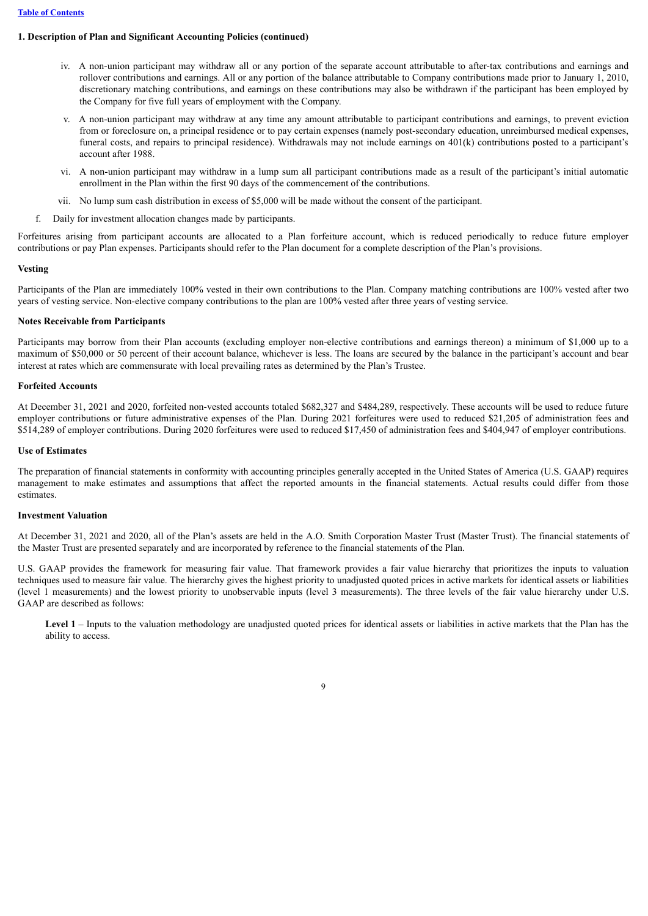# **1. Description of Plan and Significant Accounting Policies (continued)**

- iv. A non-union participant may withdraw all or any portion of the separate account attributable to after-tax contributions and earnings and rollover contributions and earnings. All or any portion of the balance attributable to Company contributions made prior to January 1, 2010, discretionary matching contributions, and earnings on these contributions may also be withdrawn if the participant has been employed by the Company for five full years of employment with the Company.
- v. A non-union participant may withdraw at any time any amount attributable to participant contributions and earnings, to prevent eviction from or foreclosure on, a principal residence or to pay certain expenses (namely post-secondary education, unreimbursed medical expenses, funeral costs, and repairs to principal residence). Withdrawals may not include earnings on 401(k) contributions posted to a participant's account after 1988.
- vi. A non-union participant may withdraw in a lump sum all participant contributions made as a result of the participant's initial automatic enrollment in the Plan within the first 90 days of the commencement of the contributions.
- vii. No lump sum cash distribution in excess of \$5,000 will be made without the consent of the participant.
- f. Daily for investment allocation changes made by participants.

Forfeitures arising from participant accounts are allocated to a Plan forfeiture account, which is reduced periodically to reduce future employer contributions or pay Plan expenses. Participants should refer to the Plan document for a complete description of the Plan's provisions.

#### **Vesting**

Participants of the Plan are immediately 100% vested in their own contributions to the Plan. Company matching contributions are 100% vested after two years of vesting service. Non-elective company contributions to the plan are 100% vested after three years of vesting service.

### **Notes Receivable from Participants**

Participants may borrow from their Plan accounts (excluding employer non-elective contributions and earnings thereon) a minimum of \$1,000 up to a maximum of \$50,000 or 50 percent of their account balance, whichever is less. The loans are secured by the balance in the participant's account and bear interest at rates which are commensurate with local prevailing rates as determined by the Plan's Trustee.

#### **Forfeited Accounts**

At December 31, 2021 and 2020, forfeited non-vested accounts totaled \$682,327 and \$484,289, respectively. These accounts will be used to reduce future employer contributions or future administrative expenses of the Plan. During 2021 forfeitures were used to reduced \$21,205 of administration fees and \$514,289 of employer contributions. During 2020 forfeitures were used to reduced \$17,450 of administration fees and \$404,947 of employer contributions.

#### **Use of Estimates**

The preparation of financial statements in conformity with accounting principles generally accepted in the United States of America (U.S. GAAP) requires management to make estimates and assumptions that affect the reported amounts in the financial statements. Actual results could differ from those estimates.

#### **Investment Valuation**

At December 31, 2021 and 2020, all of the Plan's assets are held in the A.O. Smith Corporation Master Trust (Master Trust). The financial statements of the Master Trust are presented separately and are incorporated by reference to the financial statements of the Plan.

U.S. GAAP provides the framework for measuring fair value. That framework provides a fair value hierarchy that prioritizes the inputs to valuation techniques used to measure fair value. The hierarchy gives the highest priority to unadjusted quoted prices in active markets for identical assets or liabilities (level 1 measurements) and the lowest priority to unobservable inputs (level 3 measurements). The three levels of the fair value hierarchy under U.S. GAAP are described as follows:

Level 1 – Inputs to the valuation methodology are unadjusted quoted prices for identical assets or liabilities in active markets that the Plan has the ability to access.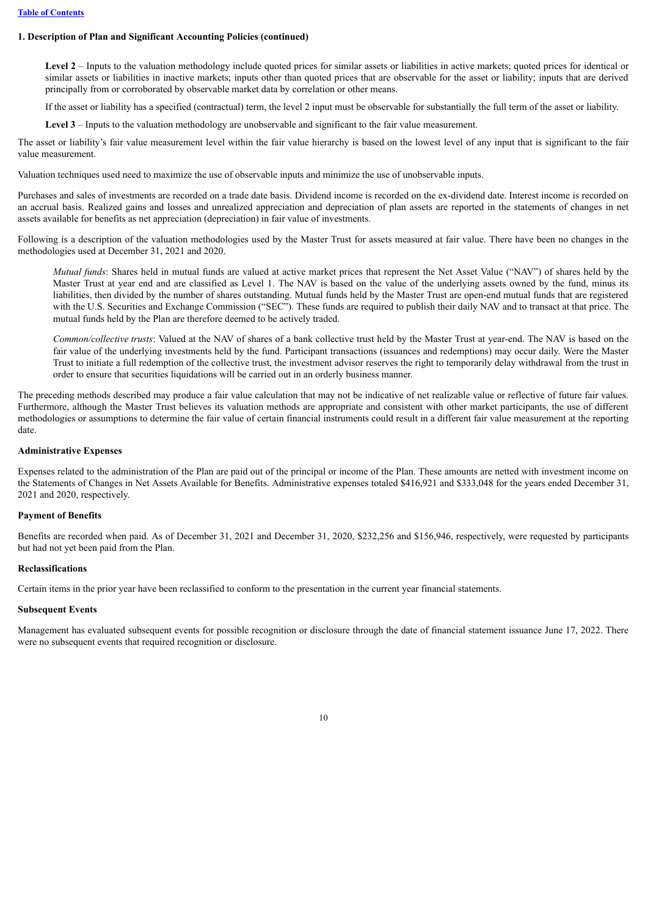#### **1. Description of Plan and Significant Accounting Policies (continued)**

Level 2 – Inputs to the valuation methodology include quoted prices for similar assets or liabilities in active markets; quoted prices for identical or similar assets or liabilities in inactive markets; inputs other than quoted prices that are observable for the asset or liability; inputs that are derived principally from or corroborated by observable market data by correlation or other means.

If the asset or liability has a specified (contractual) term, the level 2 input must be observable for substantially the full term of the asset or liability.

**Level 3** – Inputs to the valuation methodology are unobservable and significant to the fair value measurement.

The asset or liability's fair value measurement level within the fair value hierarchy is based on the lowest level of any input that is significant to the fair value measurement.

Valuation techniques used need to maximize the use of observable inputs and minimize the use of unobservable inputs.

Purchases and sales of investments are recorded on a trade date basis. Dividend income is recorded on the ex-dividend date. Interest income is recorded on an accrual basis. Realized gains and losses and unrealized appreciation and depreciation of plan assets are reported in the statements of changes in net assets available for benefits as net appreciation (depreciation) in fair value of investments.

Following is a description of the valuation methodologies used by the Master Trust for assets measured at fair value. There have been no changes in the methodologies used at December 31, 2021 and 2020.

*Mutual funds*: Shares held in mutual funds are valued at active market prices that represent the Net Asset Value ("NAV") of shares held by the Master Trust at year end and are classified as Level 1. The NAV is based on the value of the underlying assets owned by the fund, minus its liabilities, then divided by the number of shares outstanding. Mutual funds held by the Master Trust are open-end mutual funds that are registered with the U.S. Securities and Exchange Commission ("SEC"). These funds are required to publish their daily NAV and to transact at that price. The mutual funds held by the Plan are therefore deemed to be actively traded.

*Common/collective trusts*: Valued at the NAV of shares of a bank collective trust held by the Master Trust at year-end. The NAV is based on the fair value of the underlying investments held by the fund. Participant transactions (issuances and redemptions) may occur daily. Were the Master Trust to initiate a full redemption of the collective trust, the investment advisor reserves the right to temporarily delay withdrawal from the trust in order to ensure that securities liquidations will be carried out in an orderly business manner.

The preceding methods described may produce a fair value calculation that may not be indicative of net realizable value or reflective of future fair values. Furthermore, although the Master Trust believes its valuation methods are appropriate and consistent with other market participants, the use of different methodologies or assumptions to determine the fair value of certain financial instruments could result in a different fair value measurement at the reporting date.

### **Administrative Expenses**

Expenses related to the administration of the Plan are paid out of the principal or income of the Plan. These amounts are netted with investment income on the Statements of Changes in Net Assets Available for Benefits. Administrative expenses totaled \$416,921 and \$333,048 for the years ended December 31, 2021 and 2020, respectively.

#### **Payment of Benefits**

Benefits are recorded when paid. As of December 31, 2021 and December 31, 2020, \$232,256 and \$156,946, respectively, were requested by participants but had not yet been paid from the Plan.

### **Reclassifications**

Certain items in the prior year have been reclassified to conform to the presentation in the current year financial statements.

#### **Subsequent Events**

Management has evaluated subsequent events for possible recognition or disclosure through the date of financial statement issuance June 17, 2022. There were no subsequent events that required recognition or disclosure.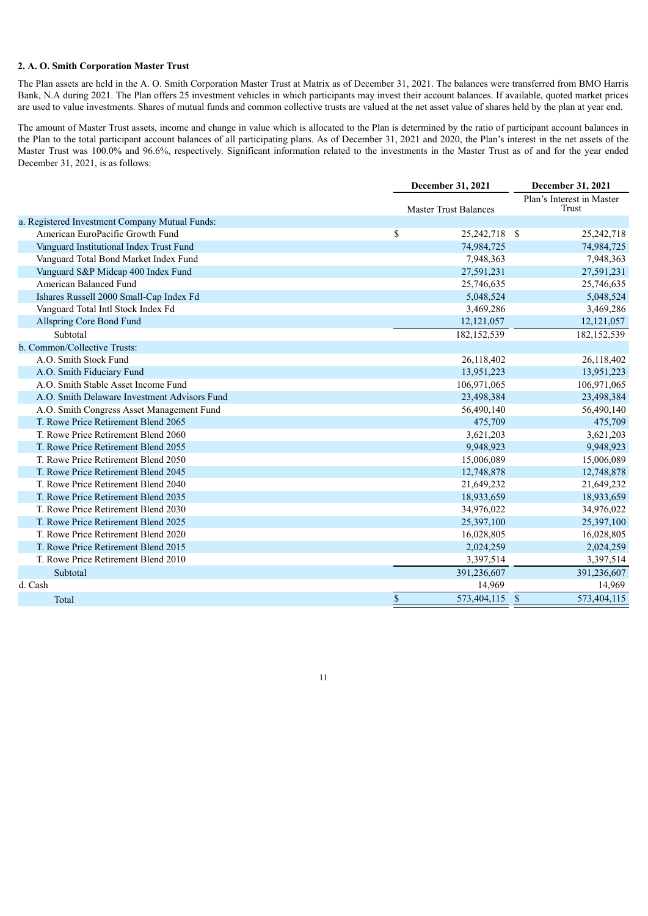#### **2. A. O. Smith Corporation Master Trust**

The Plan assets are held in the A. O. Smith Corporation Master Trust at Matrix as of December 31, 2021. The balances were transferred from BMO Harris Bank, N.A during 2021. The Plan offers 25 investment vehicles in which participants may invest their account balances. If available, quoted market prices are used to value investments. Shares of mutual funds and common collective trusts are valued at the net asset value of shares held by the plan at year end.

The amount of Master Trust assets, income and change in value which is allocated to the Plan is determined by the ratio of participant account balances in the Plan to the total participant account balances of all participating plans. As of December 31, 2021 and 2020, the Plan's interest in the net assets of the Master Trust was 100.0% and 96.6%, respectively. Significant information related to the investments in the Master Trust as of and for the year ended December 31, 2021, is as follows:

|                                                | December 31, 2021 |                              |  | December 31, 2021                  |  |  |  |
|------------------------------------------------|-------------------|------------------------------|--|------------------------------------|--|--|--|
|                                                |                   | <b>Master Trust Balances</b> |  | Plan's Interest in Master<br>Trust |  |  |  |
| a. Registered Investment Company Mutual Funds: |                   |                              |  |                                    |  |  |  |
| American EuroPacific Growth Fund               | \$                | 25,242,718 \$                |  | 25,242,718                         |  |  |  |
| Vanguard Institutional Index Trust Fund        |                   | 74,984,725                   |  | 74,984,725                         |  |  |  |
| Vanguard Total Bond Market Index Fund          |                   | 7,948,363                    |  | 7,948,363                          |  |  |  |
| Vanguard S&P Midcap 400 Index Fund             |                   | 27,591,231                   |  | 27,591,231                         |  |  |  |
| American Balanced Fund                         |                   | 25,746,635                   |  | 25,746,635                         |  |  |  |
| Ishares Russell 2000 Small-Cap Index Fd        |                   | 5,048,524                    |  | 5,048,524                          |  |  |  |
| Vanguard Total Intl Stock Index Fd             |                   | 3,469,286                    |  | 3,469,286                          |  |  |  |
| Allspring Core Bond Fund                       |                   | 12, 121, 057                 |  | 12,121,057                         |  |  |  |
| Subtotal                                       |                   | 182, 152, 539                |  | 182, 152, 539                      |  |  |  |
| b. Common/Collective Trusts:                   |                   |                              |  |                                    |  |  |  |
| A.O. Smith Stock Fund                          |                   | 26,118,402                   |  | 26,118,402                         |  |  |  |
| A.O. Smith Fiduciary Fund                      |                   | 13,951,223                   |  | 13,951,223                         |  |  |  |
| A.O. Smith Stable Asset Income Fund            |                   | 106,971,065                  |  | 106,971,065                        |  |  |  |
| A.O. Smith Delaware Investment Advisors Fund   |                   | 23,498,384                   |  | 23,498,384                         |  |  |  |
| A.O. Smith Congress Asset Management Fund      |                   | 56,490,140                   |  | 56,490,140                         |  |  |  |
| T. Rowe Price Retirement Blend 2065            |                   | 475,709                      |  | 475,709                            |  |  |  |
| T. Rowe Price Retirement Blend 2060            |                   | 3,621,203                    |  | 3,621,203                          |  |  |  |
| T. Rowe Price Retirement Blend 2055            |                   | 9,948,923                    |  | 9,948,923                          |  |  |  |
| T. Rowe Price Retirement Blend 2050            |                   | 15,006,089                   |  | 15,006,089                         |  |  |  |
| T. Rowe Price Retirement Blend 2045            |                   | 12,748,878                   |  | 12,748,878                         |  |  |  |
| T. Rowe Price Retirement Blend 2040            |                   | 21,649,232                   |  | 21,649,232                         |  |  |  |
| T. Rowe Price Retirement Blend 2035            |                   | 18,933,659                   |  | 18,933,659                         |  |  |  |
| T. Rowe Price Retirement Blend 2030            |                   | 34,976,022                   |  | 34,976,022                         |  |  |  |
| T. Rowe Price Retirement Blend 2025            |                   | 25,397,100                   |  | 25,397,100                         |  |  |  |
| T. Rowe Price Retirement Blend 2020            |                   | 16,028,805                   |  | 16,028,805                         |  |  |  |
| T. Rowe Price Retirement Blend 2015            |                   | 2,024,259                    |  | 2,024,259                          |  |  |  |
| T. Rowe Price Retirement Blend 2010            |                   | 3,397,514                    |  | 3,397,514                          |  |  |  |
| Subtotal                                       |                   | 391,236,607                  |  | 391,236,607                        |  |  |  |
| d. Cash                                        |                   | 14,969                       |  | 14,969                             |  |  |  |
| Total                                          | \$                | 573,404,115 \$               |  | 573,404,115                        |  |  |  |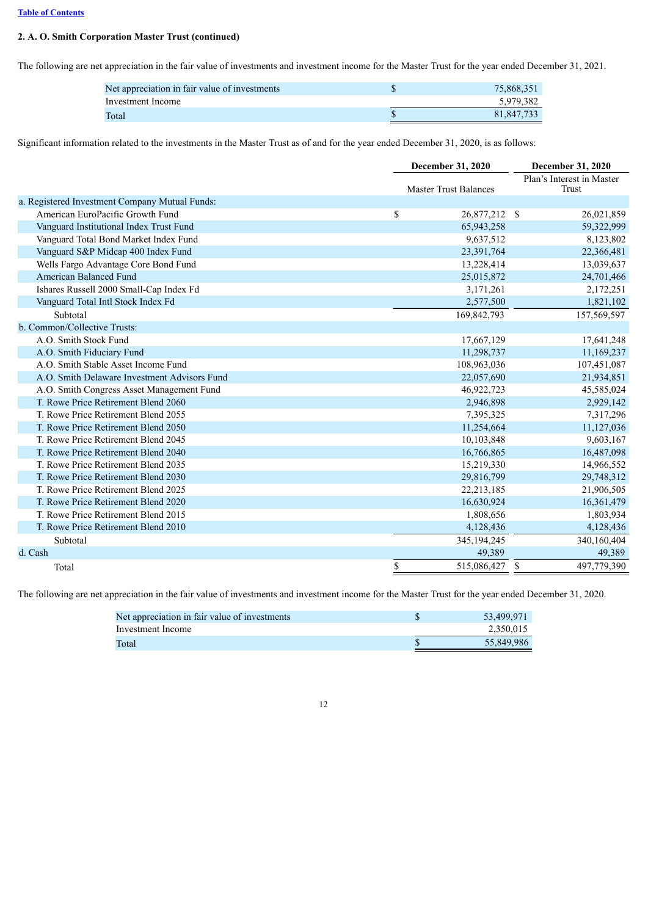### **[Table of Contents](#page-1-0)**

## **2. A. O. Smith Corporation Master Trust (continued)**

The following are net appreciation in the fair value of investments and investment income for the Master Trust for the year ended December 31, 2021.

| Net appreciation in fair value of investments | 75.868.351 |
|-----------------------------------------------|------------|
| Investment Income                             | 5.979.382  |
| Total                                         | 81.847.733 |

Significant information related to the investments in the Master Trust as of and for the year ended December 31, 2020, is as follows:

|                                                | <b>December 31, 2020</b>     | <b>December 31, 2020</b> |                                    |  |  |
|------------------------------------------------|------------------------------|--------------------------|------------------------------------|--|--|
|                                                | <b>Master Trust Balances</b> |                          | Plan's Interest in Master<br>Trust |  |  |
| a. Registered Investment Company Mutual Funds: |                              |                          |                                    |  |  |
| American EuroPacific Growth Fund               | \$<br>26,877,212 \$          |                          | 26,021,859                         |  |  |
| Vanguard Institutional Index Trust Fund        | 65,943,258                   |                          | 59,322,999                         |  |  |
| Vanguard Total Bond Market Index Fund          | 9,637,512                    |                          | 8,123,802                          |  |  |
| Vanguard S&P Midcap 400 Index Fund             | 23,391,764                   |                          | 22,366,481                         |  |  |
| Wells Fargo Advantage Core Bond Fund           | 13,228,414                   |                          | 13,039,637                         |  |  |
| <b>American Balanced Fund</b>                  | 25,015,872                   |                          | 24,701,466                         |  |  |
| Ishares Russell 2000 Small-Cap Index Fd        | 3,171,261                    |                          | 2,172,251                          |  |  |
| Vanguard Total Intl Stock Index Fd             | 2,577,500                    |                          | 1,821,102                          |  |  |
| Subtotal                                       | 169,842,793                  |                          | 157,569,597                        |  |  |
| b. Common/Collective Trusts:                   |                              |                          |                                    |  |  |
| A.O. Smith Stock Fund                          | 17,667,129                   |                          | 17,641,248                         |  |  |
| A.O. Smith Fiduciary Fund                      | 11,298,737                   |                          | 11,169,237                         |  |  |
| A.O. Smith Stable Asset Income Fund            | 108,963,036                  |                          | 107,451,087                        |  |  |
| A.O. Smith Delaware Investment Advisors Fund   | 22,057,690                   |                          | 21,934,851                         |  |  |
| A.O. Smith Congress Asset Management Fund      | 46,922,723                   |                          | 45,585,024                         |  |  |
| T. Rowe Price Retirement Blend 2060            | 2,946,898                    |                          | 2,929,142                          |  |  |
| T. Rowe Price Retirement Blend 2055            | 7,395,325                    |                          | 7,317,296                          |  |  |
| T. Rowe Price Retirement Blend 2050            | 11,254,664                   |                          | 11,127,036                         |  |  |
| T. Rowe Price Retirement Blend 2045            | 10,103,848                   |                          | 9,603,167                          |  |  |
| T. Rowe Price Retirement Blend 2040            | 16,766,865                   |                          | 16,487,098                         |  |  |
| T. Rowe Price Retirement Blend 2035            | 15,219,330                   |                          | 14,966,552                         |  |  |
| T. Rowe Price Retirement Blend 2030            | 29,816,799                   |                          | 29,748,312                         |  |  |
| T. Rowe Price Retirement Blend 2025            | 22, 213, 185                 |                          | 21,906,505                         |  |  |
| T. Rowe Price Retirement Blend 2020            | 16,630,924                   |                          | 16,361,479                         |  |  |
| T. Rowe Price Retirement Blend 2015            | 1,808,656                    |                          | 1,803,934                          |  |  |
| T. Rowe Price Retirement Blend 2010            | 4,128,436                    |                          | 4,128,436                          |  |  |
| Subtotal                                       | 345, 194, 245                |                          | 340,160,404                        |  |  |
| d. Cash                                        | 49,389                       |                          | 49,389                             |  |  |
| Total                                          | \$<br>515,086,427            | <sup>\$</sup>            | 497,779,390                        |  |  |

The following are net appreciation in the fair value of investments and investment income for the Master Trust for the year ended December 31, 2020.

| Net appreciation in fair value of investments | 53.499.971 |
|-----------------------------------------------|------------|
| Investment Income                             | 2.350.015  |
| Total                                         | 55,849,986 |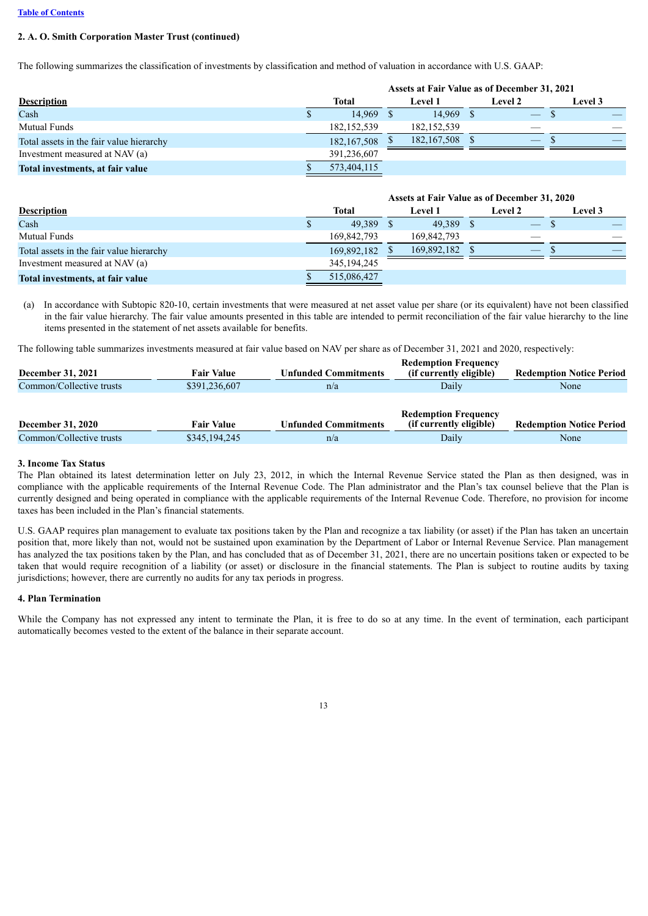#### **[Table of Contents](#page-1-0)**

### **2. A. O. Smith Corporation Master Trust (continued)**

The following summarizes the classification of investments by classification and method of valuation in accordance with U.S. GAAP:

|                                          | Assets at Fair Value as of December 31, 2021 |               |  |                |                          |  |                |
|------------------------------------------|----------------------------------------------|---------------|--|----------------|--------------------------|--|----------------|
| <b>Description</b>                       |                                              | Total         |  | <b>Level 1</b> | <b>Level 2</b>           |  | <b>Level 3</b> |
| Cash                                     |                                              | 14.969 \$     |  | 14.969 \$      | $\overline{\phantom{0}}$ |  |                |
| <b>Mutual Funds</b>                      |                                              | 182.152.539   |  | 182, 152, 539  |                          |  |                |
| Total assets in the fair value hierarchy |                                              | 182, 167, 508 |  | 182,167,508 \$ |                          |  |                |
| Investment measured at NAV (a)           |                                              | 391,236,607   |  |                |                          |  |                |
| Total investments, at fair value         |                                              | 573,404,115   |  |                |                          |  |                |

|                                          |               | Assets at Fair Value as of December 31, 2020 |                |  |                   |  |                |
|------------------------------------------|---------------|----------------------------------------------|----------------|--|-------------------|--|----------------|
| <b>Description</b>                       | Total         |                                              | <b>Level 1</b> |  | <b>Level 2</b>    |  | <b>Level 3</b> |
| Cash                                     | 49,389 \$     |                                              | 49.389 \$      |  | $\qquad \qquad -$ |  |                |
| <b>Mutual Funds</b>                      | 169,842,793   |                                              | 169.842.793    |  |                   |  |                |
| Total assets in the fair value hierarchy | 169,892,182   |                                              | 169,892,182 \$ |  |                   |  |                |
| Investment measured at NAV (a)           | 345, 194, 245 |                                              |                |  |                   |  |                |
| Total investments, at fair value         | 515,086,427   |                                              |                |  |                   |  |                |

(a) In accordance with Subtopic 820-10, certain investments that were measured at net asset value per share (or its equivalent) have not been classified in the fair value hierarchy. The fair value amounts presented in this table are intended to permit reconciliation of the fair value hierarchy to the line items presented in the statement of net assets available for benefits.

The following table summarizes investments measured at fair value based on NAV per share as of December 31, 2021 and 2020, respectively:

| <b>Fair Value</b>                                         | <b>Unfunded Commitments</b> | <b>Redemption Frequency</b><br>(if currently eligible) | <b>Redemption Notice Period</b> |
|-----------------------------------------------------------|-----------------------------|--------------------------------------------------------|---------------------------------|
| \$391,236,607<br>Common/Collective trusts<br>Daily<br>n/a |                             |                                                        | None                            |
| <b>Fair Value</b>                                         | <b>Unfunded Commitments</b> | <b>Redemption Frequency</b><br>(if currently eligible) | <b>Redemption Notice Period</b> |
| \$345,194,245                                             | n/a                         | Daily                                                  | None                            |
|                                                           |                             |                                                        |                                 |

#### **3. Income Tax Status**

The Plan obtained its latest determination letter on July 23, 2012, in which the Internal Revenue Service stated the Plan as then designed, was in compliance with the applicable requirements of the Internal Revenue Code. The Plan administrator and the Plan's tax counsel believe that the Plan is currently designed and being operated in compliance with the applicable requirements of the Internal Revenue Code. Therefore, no provision for income taxes has been included in the Plan's financial statements.

U.S. GAAP requires plan management to evaluate tax positions taken by the Plan and recognize a tax liability (or asset) if the Plan has taken an uncertain position that, more likely than not, would not be sustained upon examination by the Department of Labor or Internal Revenue Service. Plan management has analyzed the tax positions taken by the Plan, and has concluded that as of December 31, 2021, there are no uncertain positions taken or expected to be taken that would require recognition of a liability (or asset) or disclosure in the financial statements. The Plan is subject to routine audits by taxing jurisdictions; however, there are currently no audits for any tax periods in progress.

#### **4. Plan Termination**

While the Company has not expressed any intent to terminate the Plan, it is free to do so at any time. In the event of termination, each participant automatically becomes vested to the extent of the balance in their separate account.

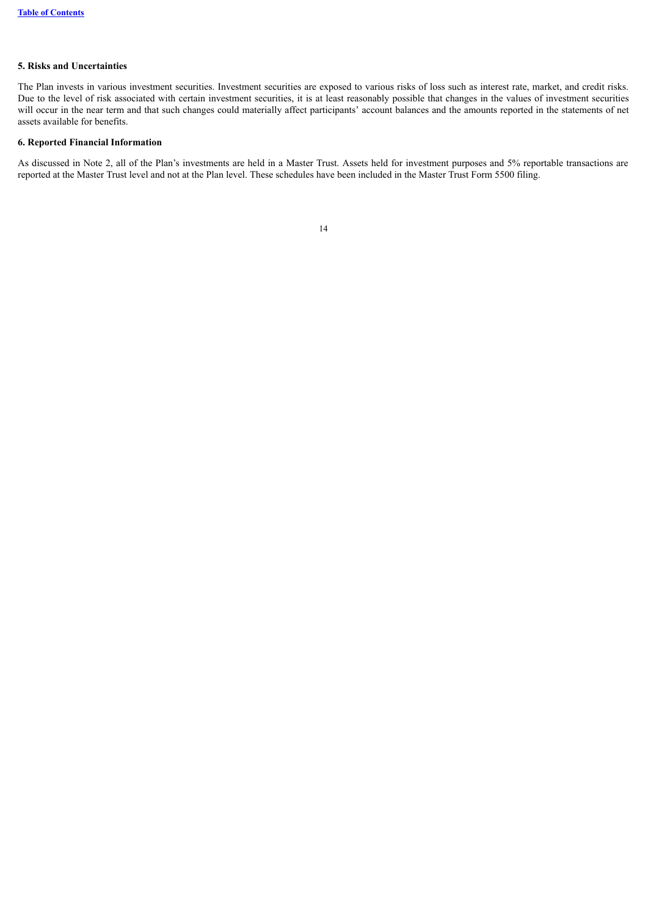### **5. Risks and Uncertainties**

The Plan invests in various investment securities. Investment securities are exposed to various risks of loss such as interest rate, market, and credit risks. Due to the level of risk associated with certain investment securities, it is at least reasonably possible that changes in the values of investment securities will occur in the near term and that such changes could materially affect participants' account balances and the amounts reported in the statements of net assets available for benefits.

#### **6. Reported Financial Information**

<span id="page-13-0"></span>As discussed in Note 2, all of the Plan's investments are held in a Master Trust. Assets held for investment purposes and 5% reportable transactions are reported at the Master Trust level and not at the Plan level. These schedules have been included in the Master Trust Form 5500 filing.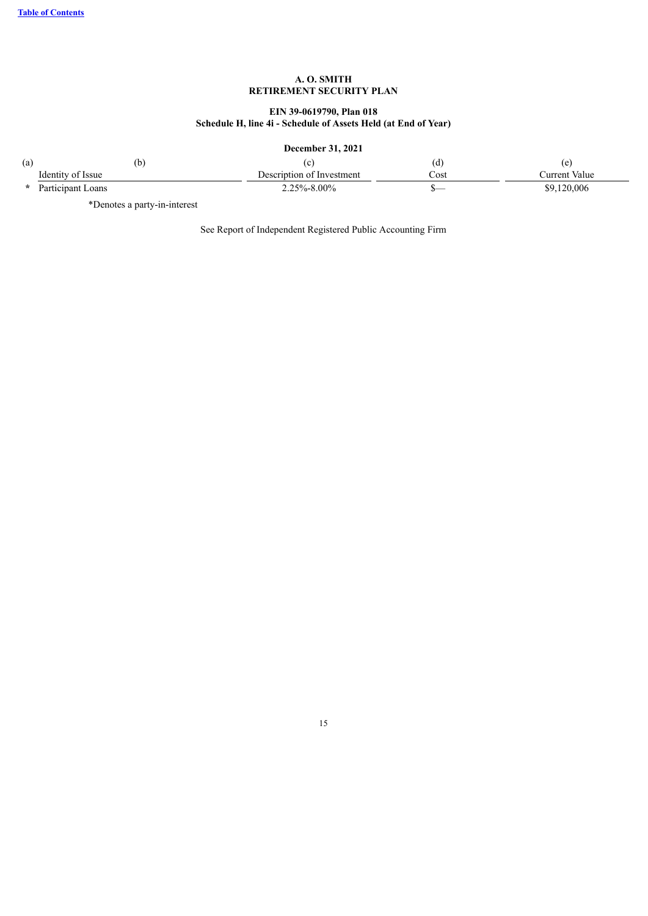# **EIN 39-0619790, Plan 018 Schedule H, line 4i - Schedule of Assets Held (at End of Year)**

# **December 31, 2021**

| (a) | (b)                 |                           | id.  |               |
|-----|---------------------|---------------------------|------|---------------|
|     | Identity of Issue   | Description of Investment | Cost | Current Value |
|     | * Participant Loans | $2.25\% - 8.00\%$         |      | \$9,120,006   |

\*Denotes a party-in-interest

See Report of Independent Registered Public Accounting Firm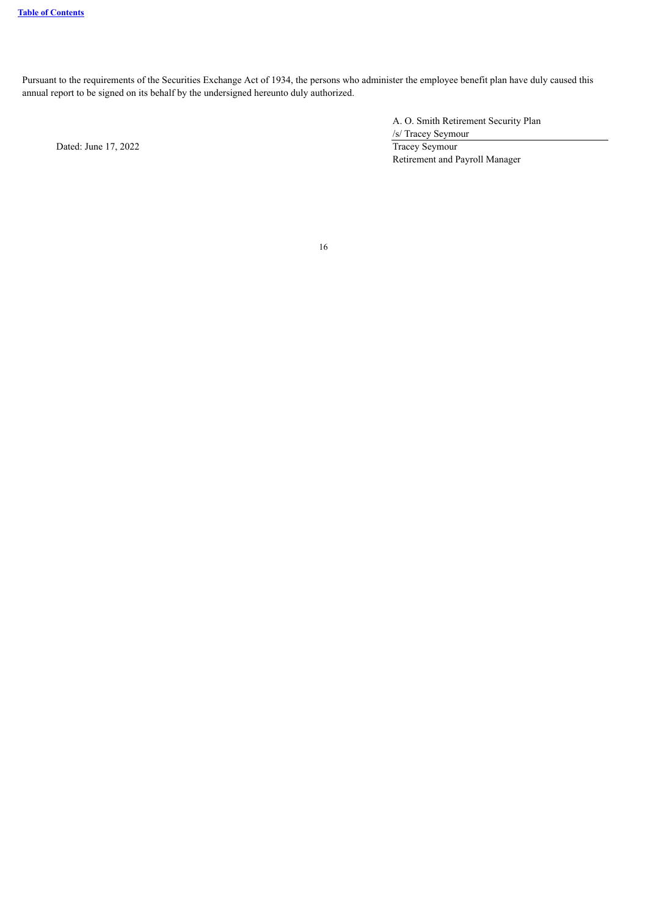Pursuant to the requirements of the Securities Exchange Act of 1934, the persons who administer the employee benefit plan have duly caused this annual report to be signed on its behalf by the undersigned hereunto duly authorized.

A. O. Smith Retirement Security Plan /s/ Tracey Seymour Dated: June 17, 2022 Tracey Seymour Retirement and Payroll Manager